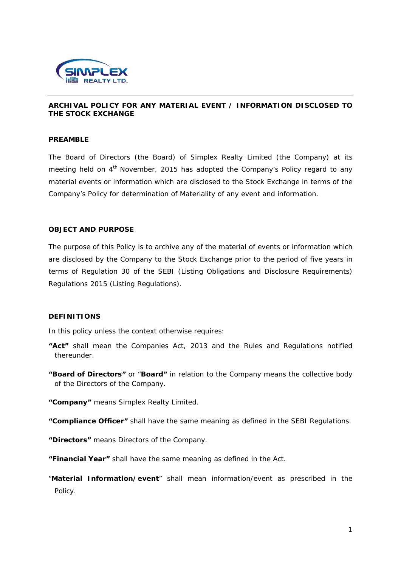

### **ARCHIVAL POLICY FOR ANY MATERIAL EVENT / INFORMATION DISCLOSED TO THE STOCK EXCHANGE**

### **PREAMBLE**

The Board of Directors (the Board) of Simplex Realty Limited (the Company) at its meeting held on 4<sup>th</sup> November, 2015 has adopted the Company's Policy regard to any material events or information which are disclosed to the Stock Exchange in terms of the Company's Policy for determination of Materiality of any event and information.

#### **OBJECT AND PURPOSE**

The purpose of this Policy is to archive any of the material of events or information which are disclosed by the Company to the Stock Exchange prior to the period of five years in terms of Regulation 30 of the SEBI (Listing Obligations and Disclosure Requirements) Regulations 2015 (Listing Regulations).

#### **DEFINITIONS**

In this policy unless the context otherwise requires:

- **"Act"** shall mean the Companies Act, 2013 and the Rules and Regulations notified thereunder.
- **"Board of Directors"** or "**Board"** in relation to the Company means the collective body of the Directors of the Company.
- **"Company"** means Simplex Realty Limited.
- **"Compliance Officer"** shall have the same meaning as defined in the SEBI Regulations.
- **"Directors"** means Directors of the Company.
- **"Financial Year"** shall have the same meaning as defined in the Act.
- "**Material Information/event**" shall mean information/event as prescribed in the Policy.